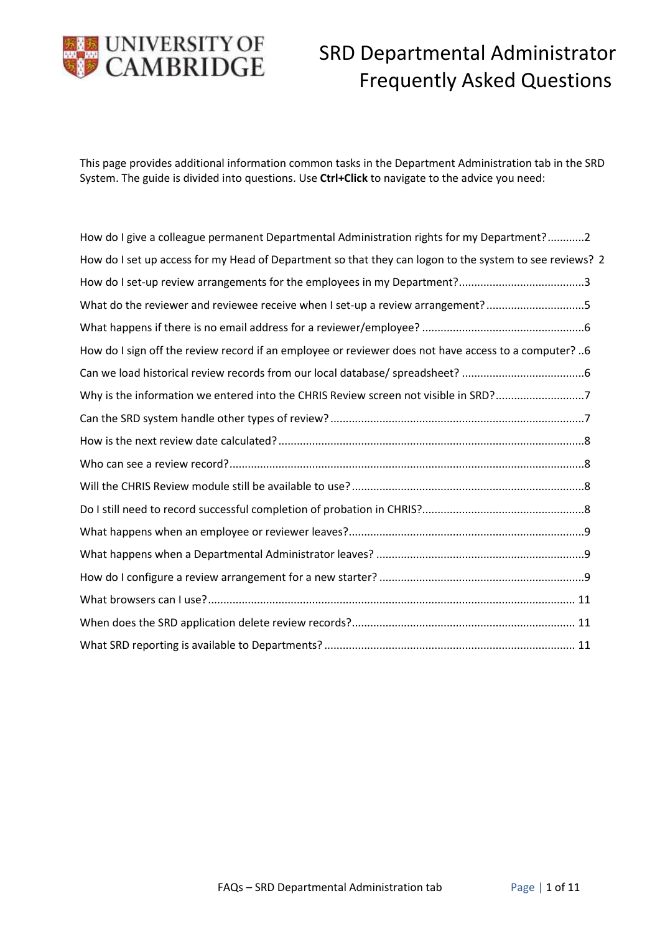

This page provides additional information common tasks in the Department Administration tab in the SRD System. The guide is divided into questions. Use **Ctrl+Click** to navigate to the advice you need:

| How do I give a colleague permanent Departmental Administration rights for my Department?2              |
|---------------------------------------------------------------------------------------------------------|
| How do I set up access for my Head of Department so that they can logon to the system to see reviews? 2 |
|                                                                                                         |
| What do the reviewer and reviewee receive when I set-up a review arrangement?5                          |
|                                                                                                         |
| 6 ?How do I sign off the review record if an employee or reviewer does not have access to a computer    |
|                                                                                                         |
| Why is the information we entered into the CHRIS Review screen not visible in SRD?7                     |
|                                                                                                         |
|                                                                                                         |
|                                                                                                         |
|                                                                                                         |
|                                                                                                         |
|                                                                                                         |
|                                                                                                         |
|                                                                                                         |
|                                                                                                         |
|                                                                                                         |
|                                                                                                         |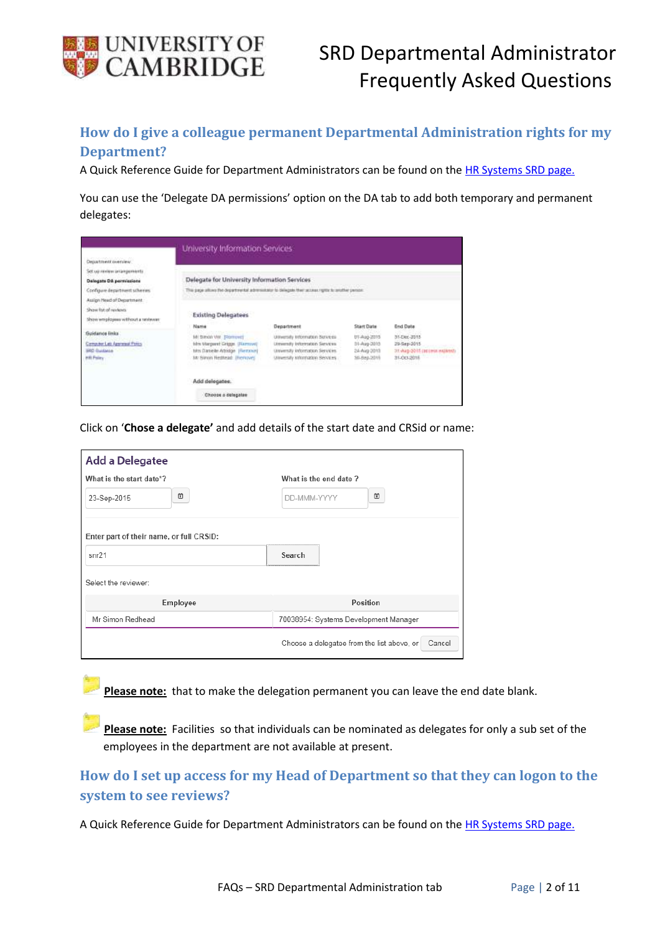

# <span id="page-1-0"></span>**How do I give a colleague permanent Departmental Administration rights for my Department?**

A Quick Reference Guide for Department Administrators can be found on th[e HR Systems SRD page.](http://www.hrsystems.admin.cam.ac.uk/systems/systems-overview/staff-review-and-development-srd)

You can use the 'Delegate DA permissions' option on the DA tab to add both temporary and permanent delegates:

| Department overview                                                                     |                                                                                                                        |                                                                                                                                          |                                                          |                                                                           |
|-----------------------------------------------------------------------------------------|------------------------------------------------------------------------------------------------------------------------|------------------------------------------------------------------------------------------------------------------------------------------|----------------------------------------------------------|---------------------------------------------------------------------------|
| Set up review arrangements<br>Delegate DA permissions                                   | Delegate for University Information Services                                                                           |                                                                                                                                          |                                                          |                                                                           |
| Configure department schemes<br>Assign Nead of Department                               | This page allows the departmental administrator to delegate their access rights to profiler person.                    |                                                                                                                                          |                                                          |                                                                           |
| Show list of niviews<br>Show employees without a reviewer                               | <b>Existing Delegatees</b><br>Name                                                                                     | Department                                                                                                                               | <b>Start Date</b>                                        | <b>End Data</b>                                                           |
| <b>Guidance Inks</b><br>Computer Lab Approval Policy<br><b>BRD Guidance</b><br>HR Paley | Mi travia via [Roment]<br>film Margaret Gripps. (Ramove)<br>tits Datele Attidge (Retwy)<br>Mr Sirron Nethead: (Remove) | University Information Services<br>University Internation Services<br>conversity information Services.<br>Unversity Information Services | UT-Aug-2015<br>31-Aug-2015<br>24-Aug-2015<br>50-8ep-2016 | 31-Dec-3315<br>29-Sep-2015<br>31-Aug-2011 raccess explorate<br>31-00-2015 |
|                                                                                         | Add delegates.                                                                                                         |                                                                                                                                          |                                                          |                                                                           |
|                                                                                         | Choose a delegatee                                                                                                     |                                                                                                                                          |                                                          |                                                                           |

Click on '**Chose a delegate'** and add details of the start date and CRSid or name:

| <b>Add a Delegatee</b>                   |                                                      |
|------------------------------------------|------------------------------------------------------|
| What is the start date*?                 | What is the end date?                                |
| ω<br>23-Sep-2015                         | ö<br>DD-MMM-YYYY                                     |
| Enter part of their name, or full CRSID: |                                                      |
| snr21                                    | Search                                               |
| Select the reviewer:                     |                                                      |
| Employee                                 | Position                                             |
| Mr Simon Redhead                         | 70038954: Systems Development Manager                |
|                                          | Choose a delegatee from the list above, or<br>Cancel |

**Please note:** that to make the delegation permanent you can leave the end date blank.

**Please note:** Facilities so that individuals can be nominated as delegates for only a sub set of the employees in the department are not available at present.

<span id="page-1-1"></span>**How do I set up access for my Head of Department so that they can logon to the system to see reviews?**

A Quick Reference Guide for Department Administrators can be found on th[e HR Systems SRD page.](http://www.hrsystems.admin.cam.ac.uk/systems/systems-overview/staff-review-and-development-srd)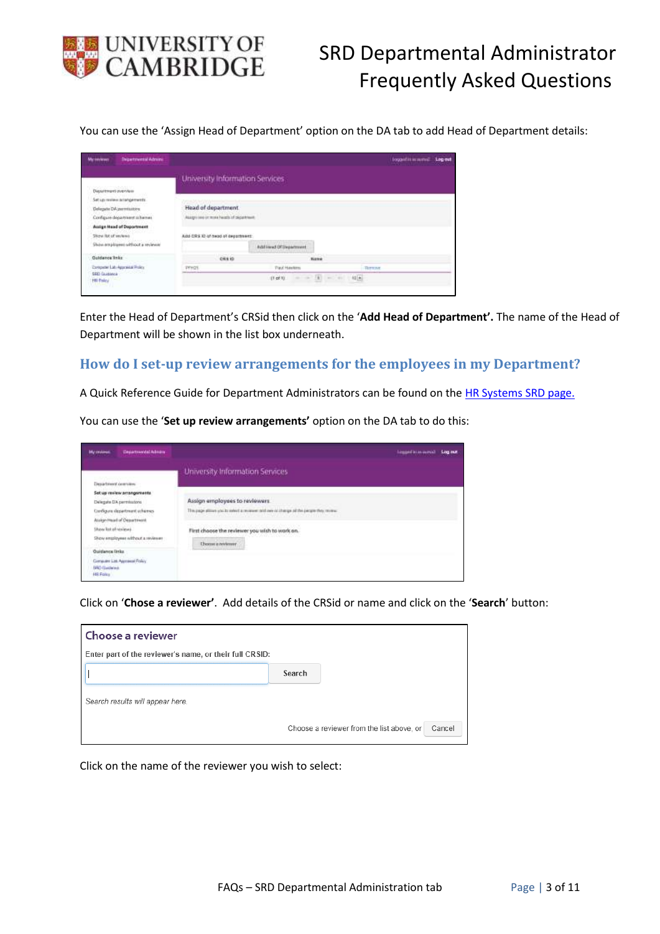

You can use the 'Assign Head of Department' option on the DA tab to add Head of Department details:

| <b>INpetrental Adress</b><br><b>Murdervisore</b> |                                   |                                         |                              | logaillinnend Legest |  |
|--------------------------------------------------|-----------------------------------|-----------------------------------------|------------------------------|----------------------|--|
|                                                  | University Information Services   |                                         |                              |                      |  |
| Department overview                              |                                   |                                         |                              |                      |  |
| Set up review actorgements.                      |                                   |                                         |                              |                      |  |
| Delegate DA permissions                          | Head of department                |                                         |                              |                      |  |
| Configure dopartment ochames                     |                                   | Assgrives of miss health of department. |                              |                      |  |
| Assign Head of Department                        |                                   |                                         |                              |                      |  |
| Silizya Rut of services                          | Add-CRS 12 of head of deportment: |                                         |                              |                      |  |
| Shaw are players without a reviewer              |                                   | Additional Of Department                |                              |                      |  |
| <b>Ouldance Inks:</b>                            | <b>CES ID</b>                     | Name                                    |                              |                      |  |
| Exception List Approvide Policy                  | PETIZE                            | Paul Haytims                            | <b>RETENT</b>                |                      |  |
| SRD Guidance<br>HR Paley                         |                                   | $(1 - 2)$                               | $= 2\sqrt{3}$ = $-1\sqrt{3}$ |                      |  |

Enter the Head of Department's CRSid then click on the '**Add Head of Department'.** The name of the Head of Department will be shown in the list box underneath.

#### <span id="page-2-0"></span>**How do I set-up review arrangements for the employees in my Department?**

A Quick Reference Guide for Department Administrators can be found on th[e HR Systems SRD page.](http://www.hrsystems.admin.cam.ac.uk/systems/systems-overview/staff-review-and-development-srd)

You can use the '**Set up review arrangements'** option on the DA tab to do this:

| <b>My restaural</b><br><b>Illegartneristal Advisor</b> |                                                                                                                                                                                                                                | to anticommon Log out |
|--------------------------------------------------------|--------------------------------------------------------------------------------------------------------------------------------------------------------------------------------------------------------------------------------|-----------------------|
| Department committee                                   | University Information Services                                                                                                                                                                                                |                       |
| Set up review arrangements                             |                                                                                                                                                                                                                                |                       |
| Delegate DA permissions                                | Assign employees to reviewers                                                                                                                                                                                                  |                       |
| Configure department schemes                           | This page attives you by select a reviewer and new or change of the perger they review.                                                                                                                                        |                       |
| Assign Head of Department                              | and the complete of the complete state of the complete of the complete state of the complete state of the complete state of the complete state of the complete state of the complete state of the complete state of the comple |                       |
| Show lat of reviews                                    | First choose the reviewer you wish to work on.                                                                                                                                                                                 |                       |
| Show enginyees without a reviewer                      | 평가에 부분위기가 오늘 화가 있어요?                                                                                                                                                                                                           |                       |
| Quidance links                                         | Choose a newleaver<br><b><i>Product of the product of the company's service</i></b>                                                                                                                                            |                       |
| Computer Ltd. Approved Roley                           |                                                                                                                                                                                                                                |                       |
| <b>SRD</b> Gasland,                                    |                                                                                                                                                                                                                                |                       |
| Hill Foles                                             |                                                                                                                                                                                                                                |                       |

Click on '**Chose a reviewer'**. Add details of the CRSid or name and click on the '**Search**' button:

| Choose a reviewer                                       |                                                     |  |
|---------------------------------------------------------|-----------------------------------------------------|--|
| Enter part of the reviewer's name, or their full CRSID: |                                                     |  |
|                                                         | Search                                              |  |
| Search results will appear here.                        |                                                     |  |
|                                                         | Choose a reviewer from the list above, or<br>Cancel |  |

Click on the name of the reviewer you wish to select: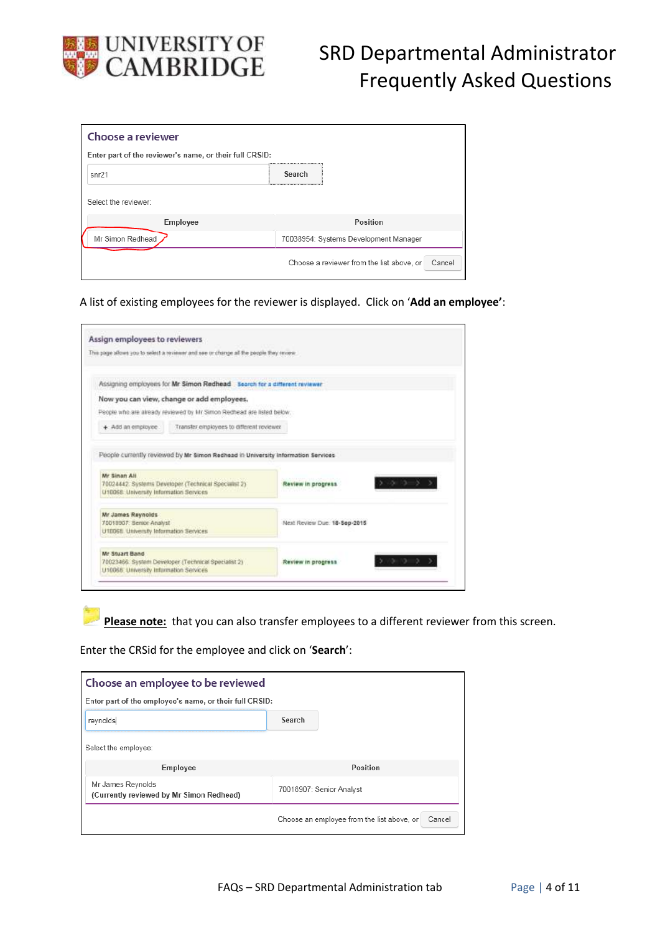

| Choose a reviewer                                       |                                                     |
|---------------------------------------------------------|-----------------------------------------------------|
| Enter part of the reviewer's name, or their full CRSID: |                                                     |
| snr21                                                   | Search                                              |
| Select the reviewer:                                    |                                                     |
| Employee                                                | Position                                            |
| Mr Simon Redhead                                        | 70038954: Systems Development Manager               |
|                                                         | Choose a reviewer from the list above, or<br>Cancel |

A list of existing employees for the reviewer is displayed. Click on '**Add an employee'**:

|                                                                                                                                                    | This page allows you to select a reviewer and see or change all the people they reverve. |                              |  |
|----------------------------------------------------------------------------------------------------------------------------------------------------|------------------------------------------------------------------------------------------|------------------------------|--|
|                                                                                                                                                    | Assigning employees for Mr Simon Redhead Search for a different reviewer                 |                              |  |
|                                                                                                                                                    | Now you can view, change or add employees.                                               |                              |  |
|                                                                                                                                                    | People who are already reviewed by Mr Simon Redhead are listed below.                    |                              |  |
| + Add an employee.                                                                                                                                 | Transfer employees to different reviewer                                                 |                              |  |
|                                                                                                                                                    |                                                                                          |                              |  |
|                                                                                                                                                    | 70024442: Systems Developer (Technical Specialist 2)                                     | Review in progress.          |  |
|                                                                                                                                                    |                                                                                          |                              |  |
| Mr Sinan All<br>U10068: University Information Services<br>Mr James Reynolds<br>70018907: Senior Analyst<br>U10068 University Information Services |                                                                                          | Next Review Due: 18-Sep-2015 |  |
| Mr Stuart Band                                                                                                                                     | 70023466. System Developer (Technical Specialist 2)                                      | Review in progress.          |  |

Please note: that you can also transfer employees to a different reviewer from this screen.

Enter the CRSid for the employee and click on '**Search**':

| Choose an employee to be reviewed                             |                                                      |  |
|---------------------------------------------------------------|------------------------------------------------------|--|
| Enter part of the employee's name, or their full CRSID:       |                                                      |  |
| reynolds                                                      | Search                                               |  |
| Select the employee:                                          |                                                      |  |
| Employee                                                      | Position                                             |  |
| Mr James Reynolds<br>(Currently reviewed by Mr Simon Redhead) | 70018907: Senior Analyst                             |  |
|                                                               | Choose an employee from the list above, or<br>Cancel |  |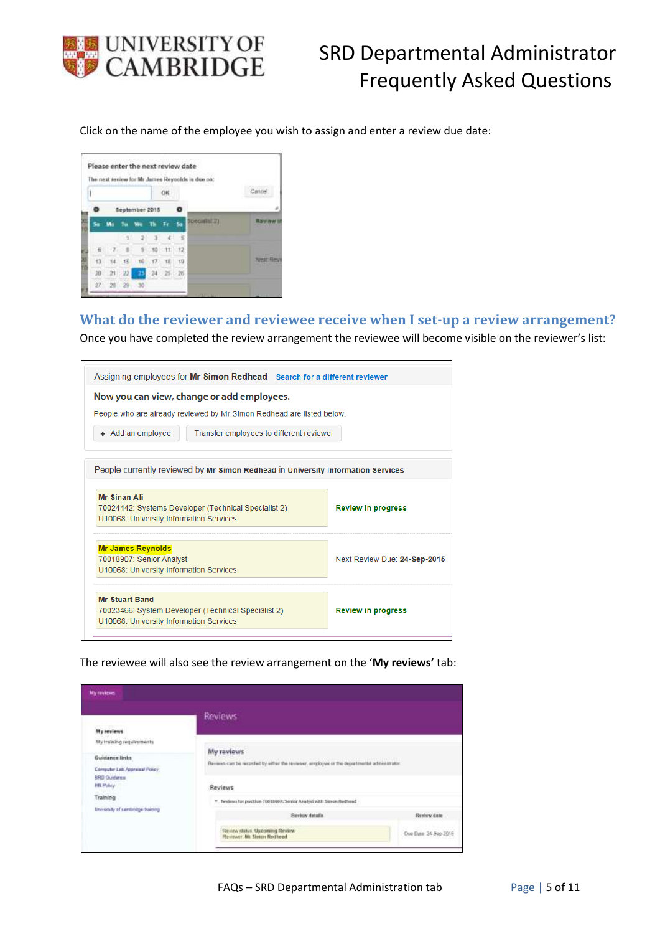

Click on the name of the employee you wish to assign and enter a review due date:



### <span id="page-4-0"></span>**What do the reviewer and reviewee receive when I set-up a review arrangement?**

Once you have completed the review arrangement the reviewee will become visible on the reviewer's list:

| Assigning employees for Mr Simon Redhead Search for a different reviewer                        |                              |  |
|-------------------------------------------------------------------------------------------------|------------------------------|--|
| Now you can view, change or add employees.                                                      |                              |  |
| People who are already reviewed by Mr Simon Redhead are listed below.                           |                              |  |
| + Add an employee<br>Transfer employees to different reviewer                                   |                              |  |
| People currently reviewed by Mr Simon Redhead in University Information Services                |                              |  |
|                                                                                                 |                              |  |
| <b>Mr Sinan Ali</b>                                                                             |                              |  |
| 70024442: Systems Developer (Technical Specialist 2)<br>U10068: University Information Services | <b>Review in progress</b>    |  |
| <b>Mr James Revnolds</b>                                                                        |                              |  |
| 70018907: Senior Analyst                                                                        | Next Review Due: 24-Sep-2015 |  |
| U10068: University Information Services                                                         |                              |  |
| <b>Mr Stuart Band</b>                                                                           |                              |  |
| 70023466: System Developer (Technical Specialist 2)                                             | <b>Review in progress</b>    |  |
| U10068: University Information Services                                                         |                              |  |

The reviewee will also see the review arrangement on the '**My reviews'** tab:

|                                  | Reviews                                                                                     |                       |
|----------------------------------|---------------------------------------------------------------------------------------------|-----------------------|
| My reviews                       |                                                                                             |                       |
| My training regulrements         | My reviews                                                                                  |                       |
| Guidance links                   | Reviews can be recorded by either the reviewer, employee or the departmental administration |                       |
| Computer Lab Appraisal Policy    |                                                                                             |                       |
| <b>SRD Guidarea</b><br>HR Policy | <b>Reviews</b>                                                                              |                       |
| Training                         |                                                                                             |                       |
| University of cambridge training | * Festivan for position 70018907: Senior Analysi with Simon Rechead                         |                       |
|                                  | <b>Review datally</b>                                                                       | Review date           |
|                                  | Review status Upcoming Review<br>Reviewer, Mr Simon Redhead                                 | Due Date: 24-5ep-2015 |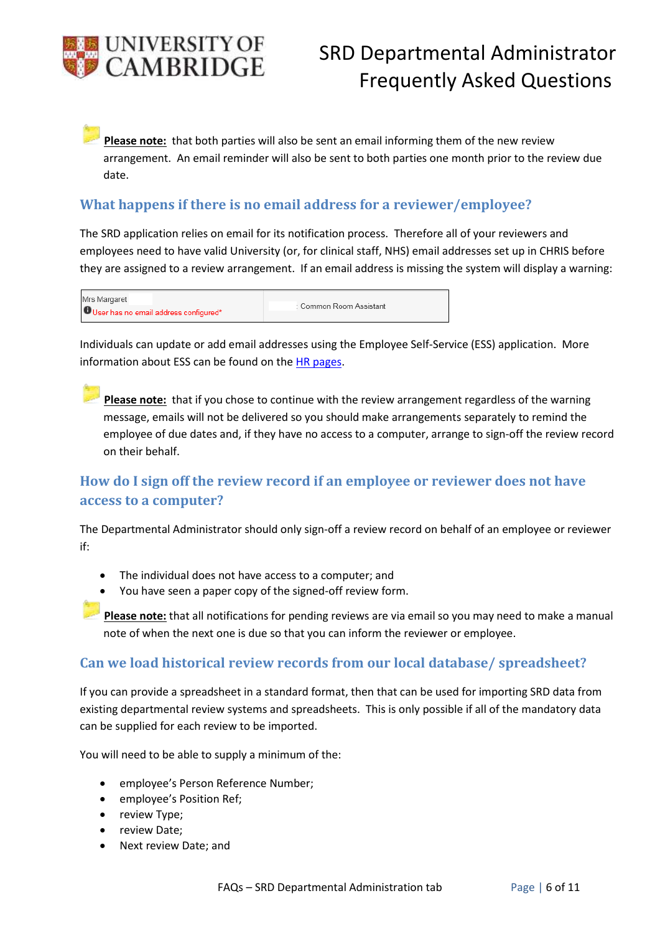

**Please note:** that both parties will also be sent an email informing them of the new review arrangement. An email reminder will also be sent to both parties one month prior to the review due date.

### <span id="page-5-0"></span>**What happens if there is no email address for a reviewer/employee?**

The SRD application relies on email for its notification process. Therefore all of your reviewers and employees need to have valid University (or, for clinical staff, NHS) email addresses set up in CHRIS before they are assigned to a review arrangement. If an email address is missing the system will display a warning:

| Mrs Margaret                          |                         |
|---------------------------------------|-------------------------|
| User has no email address configured* | : Common Room Assistant |

Individuals can update or add email addresses using the Employee Self-Service (ESS) application. More information about ESS can be found on the HR [pages.](http://www.hr.admin.cam.ac.uk/hr-staff/information-new-starters/employee-self-service-ess)

Please note: that if you chose to continue with the review arrangement regardless of the warning message, emails will not be delivered so you should make arrangements separately to remind the employee of due dates and, if they have no access to a computer, arrange to sign-off the review record on their behalf.

# <span id="page-5-1"></span>**How do I sign off the review record if an employee or reviewer does not have access to a computer?**

The Departmental Administrator should only sign-off a review record on behalf of an employee or reviewer if:

- The individual does not have access to a computer; and
- You have seen a paper copy of the signed-off review form.

**Please note:** that all notifications for pending reviews are via email so you may need to make a manual note of when the next one is due so that you can inform the reviewer or employee.

## <span id="page-5-2"></span>**Can we load historical review records from our local database/ spreadsheet?**

If you can provide a spreadsheet in a standard format, then that can be used for importing SRD data from existing departmental review systems and spreadsheets. This is only possible if all of the mandatory data can be supplied for each review to be imported.

You will need to be able to supply a minimum of the:

- employee's Person Reference Number;
- employee's Position Ref;
- review Type;
- review Date;
- Next review Date; and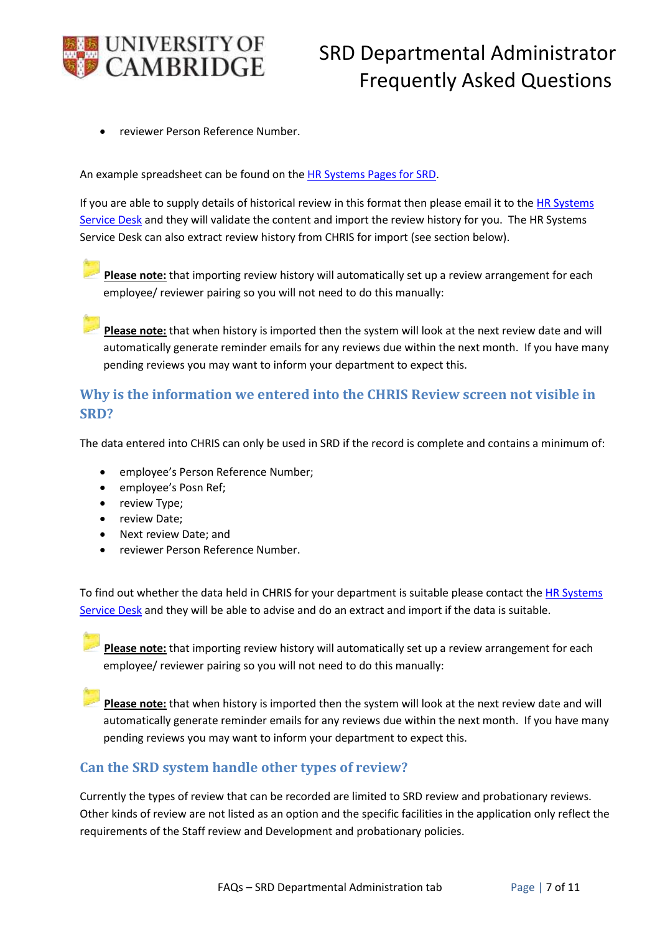

reviewer Person Reference Number.

An example spreadsheet can be found on the [HR Systems Pages for SRD.](http://www.hrsystems.admin.cam.ac.uk/systems/systems-overview/staff-review-and-development-srd)

If you are able to supply details of historical review in this format then please email it to the HR Systems [Service Desk](mailto:CHRIS%20Helpdesk%20%3cCHRIS.Helpdesk@admin.cam.ac.uk%3e) and they will validate the content and import the review history for you. The HR Systems Service Desk can also extract review history from CHRIS for import (see section below).

Please note: that importing review history will automatically set up a review arrangement for each employee/ reviewer pairing so you will not need to do this manually:

**Please note:** that when history is imported then the system will look at the next review date and will automatically generate reminder emails for any reviews due within the next month. If you have many pending reviews you may want to inform your department to expect this.

## <span id="page-6-0"></span>**Why is the information we entered into the CHRIS Review screen not visible in SRD?**

The data entered into CHRIS can only be used in SRD if the record is complete and contains a minimum of:

- employee's Person Reference Number;
- employee's Posn Ref;
- review Type;
- review Date:
- Next review Date; and
- reviewer Person Reference Number.

To find out whether the data held in CHRIS for your department is suitable please contact the HR Systems [Service Desk](mailto:CHRIS%20Helpdesk%20%3cCHRIS.Helpdesk@admin.cam.ac.uk%3e) and they will be able to advise and do an extract and import if the data is suitable.

**Please note:** that importing review history will automatically set up a review arrangement for each employee/ reviewer pairing so you will not need to do this manually:

**Please note:** that when history is imported then the system will look at the next review date and will automatically generate reminder emails for any reviews due within the next month. If you have many pending reviews you may want to inform your department to expect this.

## <span id="page-6-1"></span>**Can the SRD system handle other types of review?**

Currently the types of review that can be recorded are limited to SRD review and probationary reviews. Other kinds of review are not listed as an option and the specific facilities in the application only reflect the requirements of the Staff review and Development and probationary policies.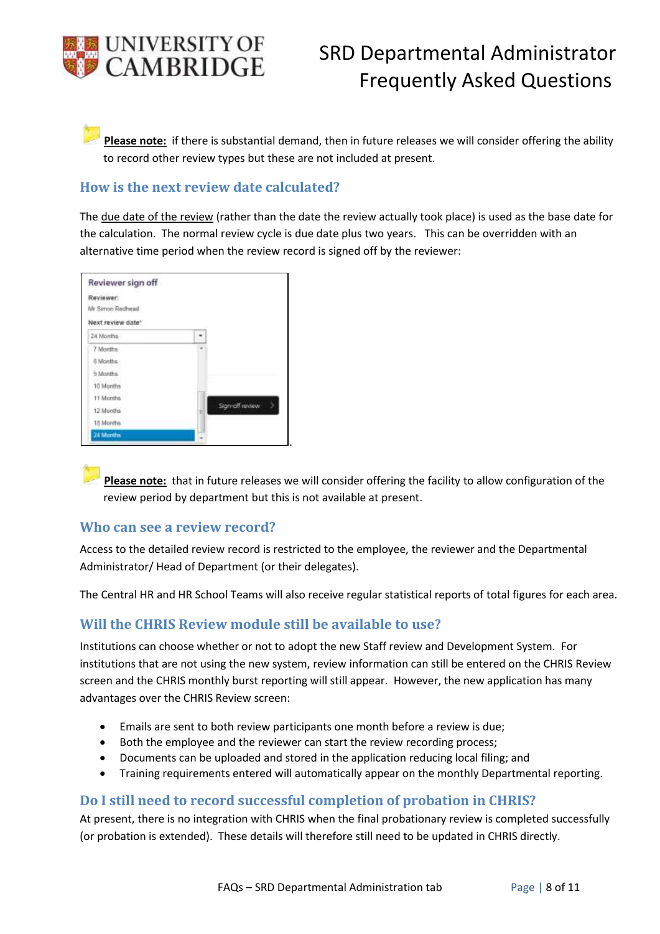

**Please note:** if there is substantial demand, then in future releases we will consider offering the ability to record other review types but these are not included at present.

### <span id="page-7-0"></span>**How is the next review date calculated?**

The due date of the review (rather than the date the review actually took place) is used as the base date for the calculation. The normal review cycle is due date plus two years. This can be overridden with an alternative time period when the review record is signed off by the reviewer:

| Reviewer sign off |                 |
|-------------------|-----------------|
| Reviewer:         |                 |
| Mr Simon Rechead  |                 |
| Next review date* |                 |
| 24 Months         |                 |
| 7 Months          |                 |
| 8 Months          |                 |
| 9 Months          |                 |
| 10 Months         |                 |
| 11 Months         |                 |
| 12 Months         | Slan-off review |
| 18 Months         |                 |
| 24 Months         |                 |

**Please note:** that in future releases we will consider offering the facility to allow configuration of the review period by department but this is not available at present.

#### <span id="page-7-1"></span>**Who can see a review record?**

Access to the detailed review record is restricted to the employee, the reviewer and the Departmental Administrator/ Head of Department (or their delegates).

.

The Central HR and HR School Teams will also receive regular statistical reports of total figures for each area.

#### <span id="page-7-2"></span>**Will the CHRIS Review module still be available to use?**

Institutions can choose whether or not to adopt the new Staff review and Development System. For institutions that are not using the new system, review information can still be entered on the CHRIS Review screen and the CHRIS monthly burst reporting will still appear. However, the new application has many advantages over the CHRIS Review screen:

- Emails are sent to both review participants one month before a review is due;
- Both the employee and the reviewer can start the review recording process;
- Documents can be uploaded and stored in the application reducing local filing; and
- Training requirements entered will automatically appear on the monthly Departmental reporting.

#### <span id="page-7-3"></span>**Do I still need to record successful completion of probation in CHRIS?**

At present, there is no integration with CHRIS when the final probationary review is completed successfully (or probation is extended). These details will therefore still need to be updated in CHRIS directly.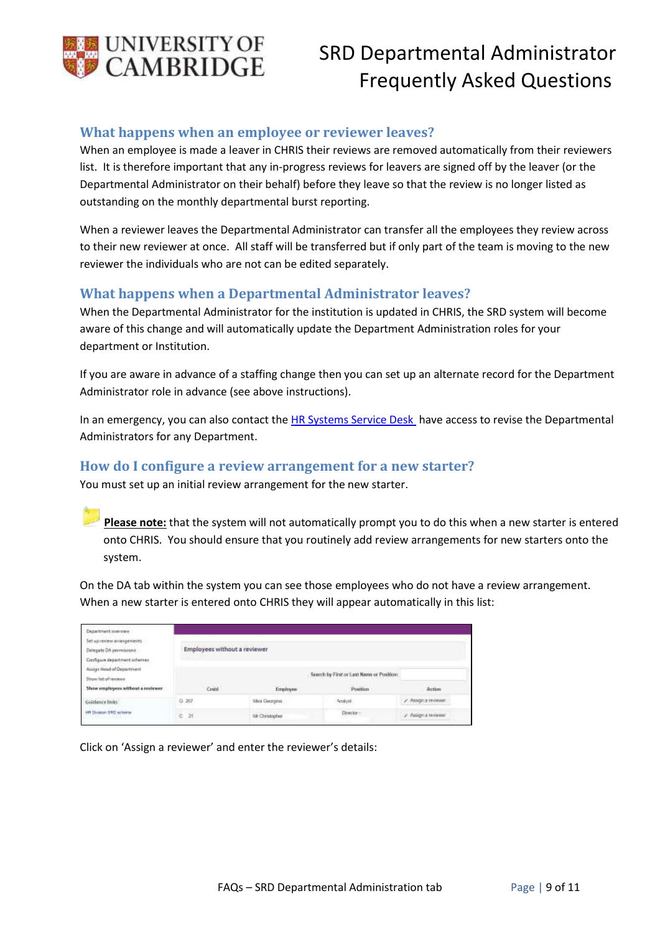

### <span id="page-8-0"></span>**What happens when an employee or reviewer leaves?**

When an employee is made a leaver in CHRIS their reviews are removed automatically from their reviewers list. It is therefore important that any in-progress reviews for leavers are signed off by the leaver (or the Departmental Administrator on their behalf) before they leave so that the review is no longer listed as outstanding on the monthly departmental burst reporting.

When a reviewer leaves the Departmental Administrator can transfer all the employees they review across to their new reviewer at once. All staff will be transferred but if only part of the team is moving to the new reviewer the individuals who are not can be edited separately.

#### <span id="page-8-1"></span>**What happens when a Departmental Administrator leaves?**

When the Departmental Administrator for the institution is updated in CHRIS, the SRD system will become aware of this change and will automatically update the Department Administration roles for your department or Institution.

If you are aware in advance of a staffing change then you can set up an alternate record for the Department Administrator role in advance (see above instructions).

In an emergency, you can also contact th[e HR Systems Service Desk](mailto:CHRIS%20Helpdesk%20%3cCHRIS.Helpdesk@admin.cam.ac.uk%3e) have access to revise the Departmental Administrators for any Department.

#### <span id="page-8-2"></span>**How do I configure a review arrangement for a new starter?**

You must set up an initial review arrangement for the new starter.

**Please note:** that the system will not automatically prompt you to do this when a new starter is entered onto CHRIS. You should ensure that you routinely add review arrangements for new starters onto the system.

On the DA tab within the system you can see those employees who do not have a review arrangement. When a new starter is entered onto CHRIS they will appear automatically in this list:

| Department pretmiew<br>Set an review assistance ras-<br>Delegate DA permissions<br>Configure department ochemie | Employees without a reviewer |               |                                                                                                                                                                                                                                                                                          |                       |
|-----------------------------------------------------------------------------------------------------------------|------------------------------|---------------|------------------------------------------------------------------------------------------------------------------------------------------------------------------------------------------------------------------------------------------------------------------------------------------|-----------------------|
| Action Head of Department<br>Show list of reviews.<br>Show employees without a reviewer                         | Credit                       | Erreitoyes    | : Seerch by First or Last Name or Position:<br>the first that the product of the product of the product of the product of the product of the product of the product of the product of the product of the product of the product of the product of the product of the product<br>Position | Action                |
| Giádance Driks                                                                                                  | G.267                        | Mex Georgins  | Analyst                                                                                                                                                                                                                                                                                  | 2 Antigera Historian  |
| HR Diverse SRD scleener<br>이번 정도 나이 나 장수 씨가 있                                                                   | $e$ is                       | Mr Orintarius | Descion-                                                                                                                                                                                                                                                                                 | 2. Assignate reserver |

Click on 'Assign a reviewer' and enter the reviewer's details: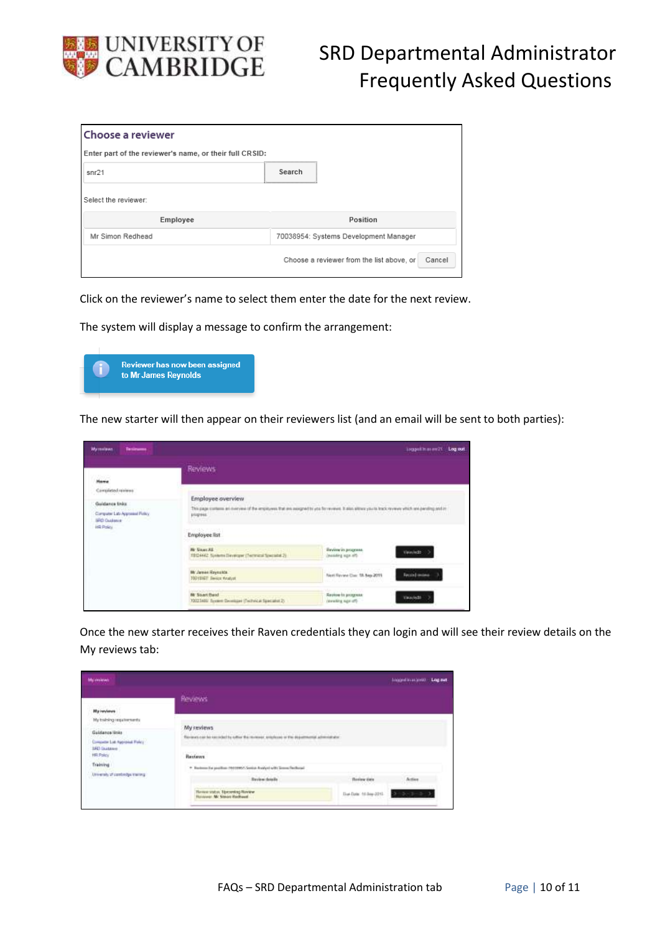

| Choose a reviewer                                       |                                                     |  |  |
|---------------------------------------------------------|-----------------------------------------------------|--|--|
| Enter part of the reviewer's name, or their full CRSID: |                                                     |  |  |
| snr21                                                   | Search                                              |  |  |
| Select the reviewer:                                    |                                                     |  |  |
| Employee                                                | Position                                            |  |  |
| Mr Simon Redhead                                        | 70038954: Systems Development Manager               |  |  |
|                                                         | Choose a reviewer from the list above, or<br>Cancel |  |  |

Click on the reviewer's name to select them enter the date for the next review.

The system will display a message to confirm the arrangement:



The new starter will then appear on their reviewers list (and an email will be sent to both parties):

|                                                        | <b>Reviews</b>                                                                                                                                                    |                                                   |                                                                                                                |
|--------------------------------------------------------|-------------------------------------------------------------------------------------------------------------------------------------------------------------------|---------------------------------------------------|----------------------------------------------------------------------------------------------------------------|
| <b>Home</b>                                            |                                                                                                                                                                   |                                                   |                                                                                                                |
| Campleted reviews<br>Guidance Erdo:                    | Employee overview                                                                                                                                                 |                                                   |                                                                                                                |
| Computer Lata Appointed Plotaly<br><b>SRD Qualator</b> | This page contenu an invervew of the employees that are assigned by you for reviews. It also allows you to track my every which and penting and in-<br>plogress." |                                                   | and the state of the control of the control of the control of the control of the control of the control of the |
| <b>IR Policy</b>                                       | Employee list                                                                                                                                                     |                                                   |                                                                                                                |
|                                                        | <b>W. StarrAE</b><br>and the complete entry and<br>19124442 Systems Developer (Technical Specialist 2)                                                            | <b>Bevine in progress</b><br>chemistry sign offi- | Virwinds                                                                                                       |
|                                                        | Mr James Reynston<br>1001057 Swick Analyst                                                                                                                        | Next Review Class 18, Sep 2015                    | Fecciol instead                                                                                                |
|                                                        | <b>Printer In Clark</b><br><b>Nr Soart Hand</b><br>70003400 System December (Technical Specialist 2)                                                              | <b>Review to progress</b><br>(davailing sign off) | Value/edge                                                                                                     |

Once the new starter receives their Raven credentials they can login and will see their review details on the My reviews tab:

| Malawakowa                       |                                                                                                      |                       | historical britt. Log out. |  |  |
|----------------------------------|------------------------------------------------------------------------------------------------------|-----------------------|----------------------------|--|--|
|                                  | <b>Beviews</b>                                                                                       |                       |                            |  |  |
| <b>Higherviews</b>               |                                                                                                      |                       |                            |  |  |
| My todaing requirements          |                                                                                                      |                       |                            |  |  |
| Galdance links                   | <b>My reviews</b>                                                                                    |                       |                            |  |  |
| Competer Lue Approved Folky      | The next can be recorded by when the receiver, why<br>forces of the disjoint entry adversages $\tau$ |                       |                            |  |  |
| 183 likelane<br>HR Policy        | Reviews                                                                                              |                       |                            |  |  |
| Training                         | * Restores for preifice: 19211992; Senice Analysi with Senies Recharge                               |                       |                            |  |  |
| Unversity of controller training | <b>Baylow details</b>                                                                                | <b>Business time</b>  | Action                     |  |  |
|                                  | China and and an interest<br>Haven video: Upcoming Navaran<br>Reinbrage: Mr. Steven Rechaeof         | Due Date: 10 Sep 2015 |                            |  |  |